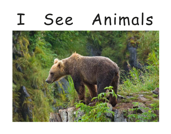# I See Animals

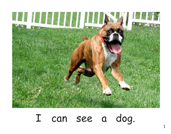

#### I can see a dog.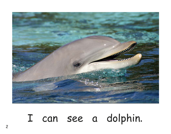

### I can see a dolphin.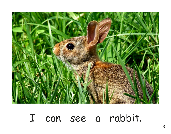

### I can see a rabbit.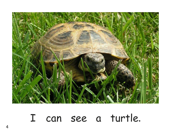

### I can see a turtle.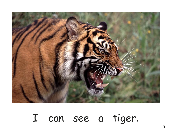

## I can see a tiger.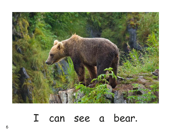

#### I can see a bear.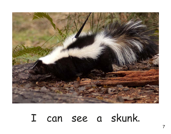

### I can see a skunk.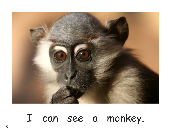

### I can see a monkey.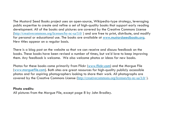The Mustard Seed Books project uses an open-source, Wikipedia-type strategy, leveraging public expertise to create and refine a set of high-quality books that support early reading development. All of the books and pictures are covered by the Creative Commons License (http://creativecommons.org/licenses/by-nc-sa/3.0/ ) and are free to print, distribute, and modify for personal or educational use. The books are available at www.mustardseedbooks.org. New titles appear on a regular basis.

There is a blog post on the website so that we can receive and discuss feedback on the books. These books have been revised a number of times, but we'd love to keep improving them. Any feedback is welcome. We also welcome photos or ideas for new books.

Photos for these books come primarily from Flickr (www.flickr.com) and the Morgue File (www.morguefile.com). Both sites are great resources for high-quality publicly accessible photos and for aspiring photographers looking to share their work. All photographs are covered by the Creative Commons License (http://creativecommons.org/licenses/by-nc-sa/3.0/ ).

#### **Photo credits:**

All pictures from the Morgue File, except page 8 by John Bradley.